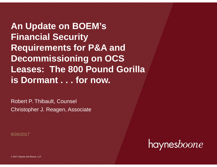**An Update on BOEM's Financial Security Requirements for P&A and Decommissioning on OCS Leases: The 800 Pound Gorilla is Dormant . . . for now.**

Robert P. Thibault, Counsel Christopher J. Reagen, Associate

9/26/2017

haynesboone

© 2017 Haynes and Boone, LLP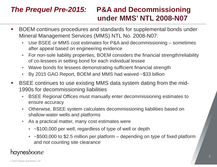# *The Prequel Pre-2015:* **P&A and Decommissioning under MMS' NTL 2008-N07**

- $\mathcal{L}_{\mathcal{A}}$  BOEM continues procedures and standards for supplemental bonds under Mineral Management Services (MMS) NTL No. 2008-N07:
	- $\mathbf{r}$  Use BSEE or MMS cost estimates for P&A and decommissioning – sometimes after appeal based on engineering evidence
	- D. For non-sole liability properties, BOEM considers the financial strength/reliability of co-lessees in setting bond for each individual lessee
	- $\mathcal{L}_{\mathcal{A}}$ Waive bonds for lessees demonstrating sufficient financial strength
	- ×. By 2015 GAO Report, BOEM and MMS had waived ~\$33 billion
- $\mathcal{L}(\mathcal{L})$  BSEE continues to use existing MMS data system dating from the mid-1990s for decommissioning liabilities
	- $\blacksquare$  BSEE Regional Offices must manually enter decommissioning estimates to ensure accuracy
	- $\blacksquare$  Otherwise, BSEE system calculates decommissioning liabilities based on shallow-water wells and platforms
	- $\mathcal{L}_{\mathcal{A}}$  As a practical matter, many cost estimates were
		- ~\$100,000 per well, regardless of type of well or depth
		- ~\$500,000 to \$2.5 million per platform depending on type of fixed platform and not counting site clearance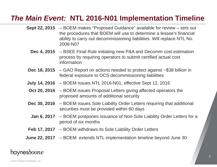### *The Main Event:* **NTL 2016-N01 Implementation Timeline**

- **Sept 22, 2015** BOEM makes "Proposed Guidance" available for review sets out the procedures that BOEM will use to determine a lessee's financial ability to carry out decommissioning liabilities. Will replace NTL No. 2008-N07
	- **Dec 4, 2015** BSEE Final Rule initiating new P&A and Decomm cost estimation process by requiring operators to submit certified actual cost information
- **Dec 18, 2015** GAO Report on actions needed to protect against ~\$38 billion in federal exposure to OCS decommissioning liabilities
- **July 14, 2016** BOEM issues NTL 2016-N01, effective Sept 12, 2016
- **Oct 20, 2016** BOEM issues Proposal Letters giving affected operators the proposed amounts of additional security
- **Dec 30, 2016** BOEM issues Sole Liability Order Letters requiring that additional securities must be provided within 60 days
	- **Jan 6, 2017** BOEM postpones issuance of Non-Sole Liability Order Letters for a period of six months
- **Feb 17, 2017** BOEM withdraws its Sole Liability Order Letters
- **June 22, 2017** BOEM extends NTL implementation timeline beyond June 30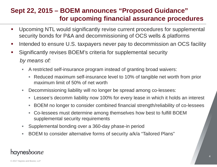### **Sept 22, 2015 – BOEM announces "Proposed Guidance" for upcoming financial assurance procedures**

- $\mathbf{r}$  Upcoming NTL would significantly revise current procedures for supplemental security bonds for P&A and decommissioning of OCS wells & platforms
- $\mathcal{L}(\mathcal{L})$  and  $\mathcal{L}(\mathcal{L})$  and  $\mathcal{L}(\mathcal{L})$ Intended to ensure U.S. taxpayers never pay to decommission an OCS facility
- $\mathcal{L}(\mathcal{L})$  Significantly revises BOEM's criteria for supplemental security *by means of:*
	- $\blacksquare$  A restricted self-insurance program instead of granting broad waivers:
		- Reduced maximum self-insurance level to 10% of tangible net worth from prior maximum limit of 50% of net worth
	- a. Decommissioning liability will no longer be spread among co-lessees:
		- $\blacksquare$ Lessee's decomm liability now 100% for every lease in which it holds an interest
		- BOEM no longer to consider combined financial strength/reliability of co-lessees
		- Co-lessees must determine among themselves how best to fulfill BOEM supplemental security requirements
	- ×. Supplemental bonding over a 360-day phase-in period
	- ×. BOEM to consider alternative forms of security a/k/a "Tailored Plans"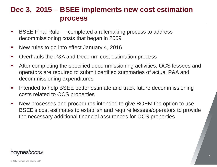### **Dec 3, 2015 – BSEE implements new cost estimation process**

- BSEE Final Rule — completed a rulemaking process to address decommissioning costs that began in 2009
- $\mathcal{L}_{\mathcal{A}}$ New rules to go into effect January 4, 2016
- Overhauls the P&A and Decomm cost estimation process
- $\mathcal{L}_{\mathcal{A}}$  After completing the specified decommissioning activities, OCS lessees and operators are required to submit certified summaries of actual P&A and decommissioning expenditures
- Intended to help BSEE better estimate and track future decommissioning costs related to OCS properties
- $\mathcal{L}_{\mathcal{A}}$  New processes and procedures intended to give BOEM the option to use BSEE's cost estimates to establish and require lessees/operators to provide the necessary additional financial assurances for OCS properties

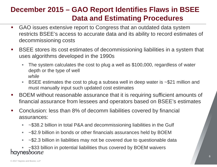# **December 2015 – GAO Report Identifies Flaws in BSEE Data and Estimating Procedures**

- $\overline{\phantom{a}}$  GAO issues extensive report to Congress that an outdated data system restricts BSEE's access to accurate data and its ability to record estimates of decommissioning costs
- $\mathcal{L}_{\mathcal{A}}$  BSEE stores its cost estimates of decommissioning liabilities in a system that uses algorithms developed in the 1990s
	- ×. The system calculates the cost to plug a well as \$100,000, regardless of water depth or the type of well *while*
	- $\mathcal{L}_{\mathcal{A}}$  BSEE estimates the cost to plug a subsea well in deep water is ~\$21 million and must manually input such updated cost estimates
- $\mathcal{L}(\mathcal{L})$  and  $\mathcal{L}(\mathcal{L})$  and  $\mathcal{L}(\mathcal{L})$  BOEM without reasonable assurance that it is requiring sufficient amounts of financial assurance from lessees and operators based on BSEE's estimates
- $\mathcal{L}_{\mathcal{A}}$  Conclusion: less than 8% of decomm liabilities covered by financial assurances:
	- ×. ~\$38.2 billion in total P&A and decommissioning liabilities in the Gulf
	- ×. ~\$2.9 billion in bonds or other financials assurances held by BOEM
	- ~\$2.3 billion in liabilities may not be covered due to questionable data

 $\sim$ \$33 billion in potential liabilities thus covered by BOEM waivers **nesboone**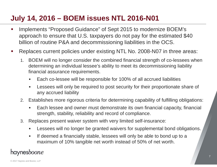# **July 14, 2016 – BOEM issues NTL 2016-N01**

- $\mathcal{L}_{\mathcal{A}}$  Implements "Proposed Guidance" of Sept 2015 to modernize BOEM's approach to ensure that U.S. taxpayers do not pay for the estimated \$40 billion of routine P&A and decommissioning liabilities in the OCS.
- Replaces current policies under existing NTL No. 2008-N07 in three areas:
	- 1. BOEM will no longer consider the combined financial strength of co-lessees when determining an individual lessee's ability to meet its decommissioning liability financial assurance requirements.
		- $\blacksquare$ Each co-lessee will be responsible for 100% of all accrued liabilities
		- ш Lessees will only be required to post security for their proportionate share of any accrued liability
	- 2. Establishes more rigorous criteria for determining capability of fulfilling obligations:
		- ٠ Each lessee and owner must demonstrate its own financial capacity, financial strength, stability, reliability and record of compliance.
	- 3. Replaces present waiver system with very limited self-insurance:
		- $\blacksquare$ Lessees will no longer be granted waivers for supplemental bond obligations.
		- $\blacksquare$  If deemed a financially stable, lessees will only be able to bond up to a maximum of 10% tangible net worth instead of 50% of net worth.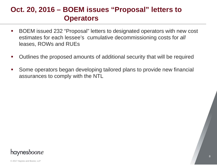### **Oct. 20, 2016 – BOEM issues "Proposal" letters to Operators**

- $\mathcal{L}_{\mathcal{A}}$  BOEM issued 232 "Proposal" letters to designated operators with new cost estimates for each lessee's cumulative decommissioning costs for *all* leases, ROWs and RUEs
- $\mathcal{L}(\mathcal{L})$ Outlines the proposed amounts of additional security that will be required
- $\mathcal{L}(\mathcal{L})$  Some operators began developing tailored plans to provide new financial assurances to comply with the NTL

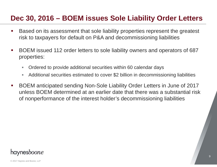### **Dec 30, 2016 – BOEM issues Sole Liability Order Letters**

- $\mathcal{L}_{\mathcal{A}}$  Based on its assessment that sole liability properties represent the greatest risk to taxpayers for default on P&A and decommissioning liabilities
- $\mathcal{L}_{\mathcal{A}}$  BOEM issued 112 order letters to sole liability owners and operators of 687 properties:
	- L. Ordered to provide additional securities within 60 calendar days
	- $\mathbb{R}^n$ Additional securities estimated to cover \$2 billion in decommissioning liabilities
- BOEM anticipated sending Non-Sole Liability Order Letters in June of 2017 unless BOEM determined at an earlier date that there was a substantial risk of nonperformance of the interest holder's decommissioning liabilities

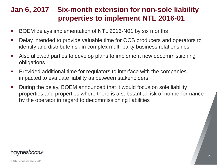## **Jan 6, 2017 – Six-month extension for non-sole liability properties to implement NTL 2016-01**

- $\mathcal{L}_{\mathcal{A}}$ BOEM delays implementation of NTL 2016-N01 by six months
- $\mathcal{L}_{\mathcal{A}}$  Delay intended to provide valuable time for OCS producers and operators to identify and distribute risk in complex multi-party business relationships
- $\overline{\phantom{a}}$  Also allowed parties to develop plans to implement new decommissioning obligations
- $\mathcal{L}_{\mathcal{A}}$  Provided additional time for regulators to interface with the companies impacted to evaluate liability as between stakeholders
- $\blacksquare$  During the delay, BOEM announced that it would focus on sole liability properties and properties where there is a substantial risk of nonperformance by the operator in regard to decommissioning liabilities

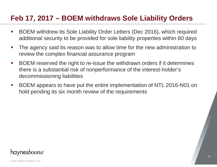# **Feb 17, 2017 – BOEM withdraws Sole Liability Orders**

- BOEM withdrew its Sole Liability Order Letters (Dec 2016), which required additional security to be provided for sole liability properties within 60 days
- $\mathcal{L}_{\mathcal{A}}$  The agency said its reason was to allow time for the new administration to review the complex financial assurance program
- $\mathcal{L}_{\mathcal{A}}$  BOEM reserved the right to re-issue the withdrawn orders if it determines there is a substantial risk of nonperformance of the interest-holder's decommissioning liabilities
- $\mathcal{L}_{\mathcal{A}}$  BOEM appears to have put the entire implementation of NTL 2016-N01 on hold pending its six month review of the requirements

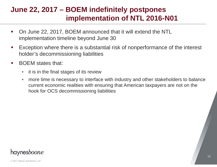# **June 22, 2017 – BOEM indefinitely postpones implementation of NTL 2016-N01**

- On June 22, 2017, BOEM announced that it will extend the NTL implementation timeline beyond June 30
- $\mathcal{L}_{\mathcal{A}}$  Exception where there is a substantial risk of nonperformance of the interest holder's decommissioning liabilities
- BOEM states that:
	- L. it is in the final stages of its review
	- $\mathbb{R}^n$  more time is necessary to interface with industry and other stakeholders to balance current economic realities with ensuring that American taxpayers are not on the hook for OCS decommissioning liabilities

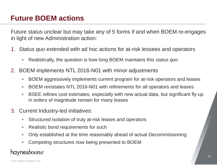# **Future BOEM actions**

Future status unclear but may take any of 5 forms if and when BOEM re-engages in light of new Administration action:

- *1. Status quo* extended with ad hoc actions for at-risk lessees and operators
	- U, Realistically, the question is how long BOEM maintains this *status quo*
- 2. BOEM implements NTL 2016-N01 with minor adjustments
	- L. BOEM aggressively implements current program for at-risk operators and leases
	- ×. BOEM reinstates NTL 2016-N01 with refinements for all operators and leases
	- L. BSEE refines cost estimates, especially with new actual data, but significant fly-up in orders of magnitude remain for many leases
- 3. Current Industry-led initiatives:
	- ×. Structured isolation of truly at-risk leases and operators
	- п Realistic bond requirements for such
	- L. Only established at the time reasonably ahead of actual Decommissioning
	- ×. Competing structures now being presented to BOEM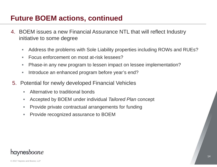### **Future BOEM actions, continued**

- 4. BOEM issues a new Financial Assurance NTL that will reflect Industry initiative to some degree
	- $\mathcal{L}_{\mathcal{A}}$ Address the problems with Sole Liability properties including ROWs and RUEs?
	- $\mathcal{L}_{\mathcal{A}}$ Focus enforcement on most at-risk lessees?
	- ×, Phase-in any new program to lessen impact on lessee implementation?
	- ×, Introduce an enhanced program before year's end?
- 5. Potential for newly developed Financial Vehicles
	- Alternative to traditional bonds
	- ×. Accepted by BOEM under individual *Tailored Plan* concept
	- n. Provide private contractual arrangements for funding
	- Provide recognized assurance to BOEM

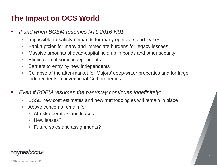# **The Impact on OCS World**

- *If and when BOEM resumes NTL 2016-N01:*
	- × Impossible-to-satisfy demands for many operators and leases
	- ×. Bankruptcies for many and immediate burdens for legacy lessees
	- ×. Massive amounts of dead-capital held up in bonds and other security
	- $\mathcal{L}_{\mathcal{A}}$ Elimination of some independents
	- ×. Barriers to entry by new independents
	- ×. Collapse of the after-market for Majors' deep-water properties and for large independents' conventional Gulf properties
- *Even if BOEM resumes the past/stay continues indefinitely:*
	- ×. BSSE new cost estimates and new methodologies will remain in place
	- m. Above concerns remain for:
		- At-risk operators and leases
		- **New leases?**
		- Future sales and assignments?

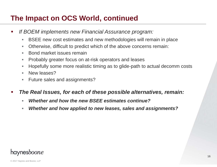### **The Impact on OCS World, continued**

- *If BOEM implements new Financial Assurance program:*
	- $\blacksquare$ BSEE new cost estimates and new methodologies will remain in place
	- ×. Otherwise, difficult to predict which of the above concerns remain:
	- ×. Bond market issues remain
	- ×. Probably greater focus on at-risk operators and leases
	- ×. Hopefully some more realistic timing as to glide-path to actual decomm costs
	- ×. New leases?
	- $\mathcal{L}_{\mathcal{A}}$ Future sales and assignments?
- $\mathcal{L}(\mathcal{L})$  *The Real Issues, for each of these possible alternatives, remain:*
	- $\mathcal{L}_{\mathcal{A}}$ *Whether and how the new BSEE estimates continue?*
	- ×. *Whether and how applied to new leases, sales and assignments?*

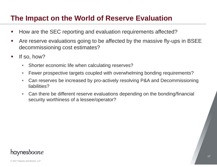### **The Impact on the World of Reserve Evaluation**

- How are the SEC reporting and evaluation requirements affected?
- $\mathcal{L}_{\mathcal{A}}$  Are reserve evaluations going to be affected by the massive fly-ups in BSEE decommissioning cost estimates?
- If so, how?
	- ×, Shorter economic life when calculating reserves?
	- ×. Fewer prospective targets coupled with overwhelming bonding requirements?
	- $\blacksquare$  Can reserves be increased by pro-actively resolving P&A and Decommissioning liabilities?
	- ×. Can there be different reserve evaluations depending on the bonding/financial security worthiness of a lessee/operator?

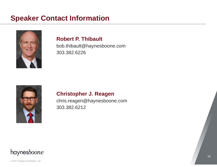### **Speaker Contact Information**



#### **Robert P. Thibault**

bob.thibault@haynesboone.com 303.382.6226



#### **Christopher J. Reagen**

chris.reagen@haynesboone.com 303.382.6212